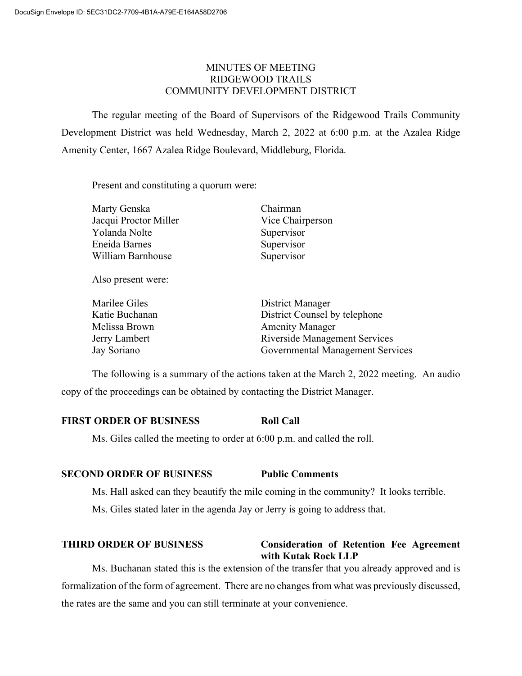# MINUTES OF MEETING RIDGEWOOD TRAILS COMMUNITY DEVELOPMENT DISTRICT

The regular meeting of the Board of Supervisors of the Ridgewood Trails Community Development District was held Wednesday, March 2, 2022 at 6:00 p.m. at the Azalea Ridge Amenity Center, 1667 Azalea Ridge Boulevard, Middleburg, Florida.

Present and constituting a quorum were:

| Marty Genska          | Chairman                      |
|-----------------------|-------------------------------|
| Jacqui Proctor Miller | Vice Chairperson              |
| Yolanda Nolte         | Supervisor                    |
| Eneida Barnes         | Supervisor                    |
| William Barnhouse     | Supervisor                    |
| Also present were:    |                               |
| Marilee Giles         | District Manager              |
| Katie Buchanan        | District Counsel by telephone |
| Melissa Brown         | <b>Amenity Manager</b>        |
| Jerry Lambert         | Riverside Management Services |

The following is a summary of the actions taken at the March 2, 2022 meeting. An audio copy of the proceedings can be obtained by contacting the District Manager.

Jay Soriano Governmental Management Services

## **FIRST ORDER OF BUSINESS Roll Call**

Ms. Giles called the meeting to order at 6:00 p.m. and called the roll.

## **SECOND ORDER OF BUSINESS Public Comments**

Ms. Hall asked can they beautify the mile coming in the community? It looks terrible.

Ms. Giles stated later in the agenda Jay or Jerry is going to address that.

### **THIRD ORDER OF BUSINESS Consideration of Retention Fee Agreement with Kutak Rock LLP**

Ms. Buchanan stated this is the extension of the transfer that you already approved and is formalization of the form of agreement. There are no changes from what was previously discussed, the rates are the same and you can still terminate at your convenience.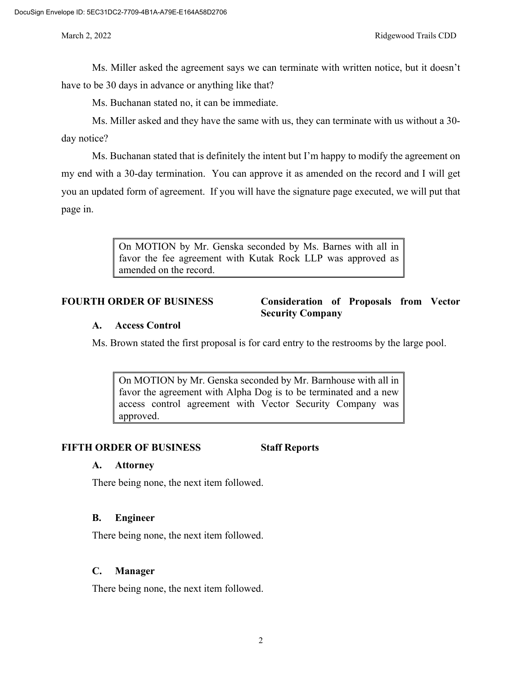March 2, 2022 Ridgewood Trails CDD

Ms. Miller asked the agreement says we can terminate with written notice, but it doesn't have to be 30 days in advance or anything like that?

Ms. Buchanan stated no, it can be immediate.

Ms. Miller asked and they have the same with us, they can terminate with us without a 30 day notice?

Ms. Buchanan stated that is definitely the intent but I'm happy to modify the agreement on my end with a 30-day termination. You can approve it as amended on the record and I will get you an updated form of agreement. If you will have the signature page executed, we will put that page in.

> On MOTION by Mr. Genska seconded by Ms. Barnes with all in favor the fee agreement with Kutak Rock LLP was approved as amended on the record.

## **FOURTH ORDER OF BUSINESS Consideration of Proposals from Vector Security Company**

### **A. Access Control**

Ms. Brown stated the first proposal is for card entry to the restrooms by the large pool.

On MOTION by Mr. Genska seconded by Mr. Barnhouse with all in favor the agreement with Alpha Dog is to be terminated and a new access control agreement with Vector Security Company was approved.

## **FIFTH ORDER OF BUSINESS Staff Reports**

### **A. Attorney**

There being none, the next item followed.

## **B. Engineer**

There being none, the next item followed.

### **C. Manager**

There being none, the next item followed.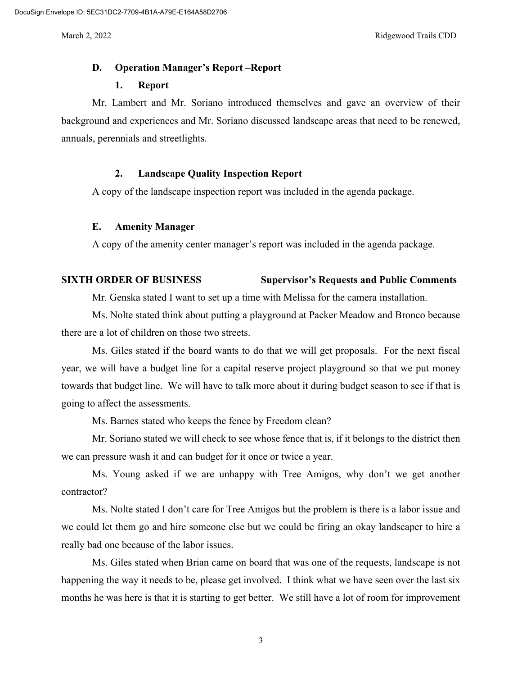#### **D. Operation Manager's Report –Report**

### **1. Report**

Mr. Lambert and Mr. Soriano introduced themselves and gave an overview of their background and experiences and Mr. Soriano discussed landscape areas that need to be renewed, annuals, perennials and streetlights.

#### **2. Landscape Quality Inspection Report**

A copy of the landscape inspection report was included in the agenda package.

#### **E. Amenity Manager**

A copy of the amenity center manager's report was included in the agenda package.

#### **SIXTH ORDER OF BUSINESS Supervisor's Requests and Public Comments**

Mr. Genska stated I want to set up a time with Melissa for the camera installation.

Ms. Nolte stated think about putting a playground at Packer Meadow and Bronco because there are a lot of children on those two streets.

Ms. Giles stated if the board wants to do that we will get proposals. For the next fiscal year, we will have a budget line for a capital reserve project playground so that we put money towards that budget line. We will have to talk more about it during budget season to see if that is going to affect the assessments.

Ms. Barnes stated who keeps the fence by Freedom clean?

Mr. Soriano stated we will check to see whose fence that is, if it belongs to the district then we can pressure wash it and can budget for it once or twice a year.

Ms. Young asked if we are unhappy with Tree Amigos, why don't we get another contractor?

Ms. Nolte stated I don't care for Tree Amigos but the problem is there is a labor issue and we could let them go and hire someone else but we could be firing an okay landscaper to hire a really bad one because of the labor issues.

Ms. Giles stated when Brian came on board that was one of the requests, landscape is not happening the way it needs to be, please get involved. I think what we have seen over the last six months he was here is that it is starting to get better. We still have a lot of room for improvement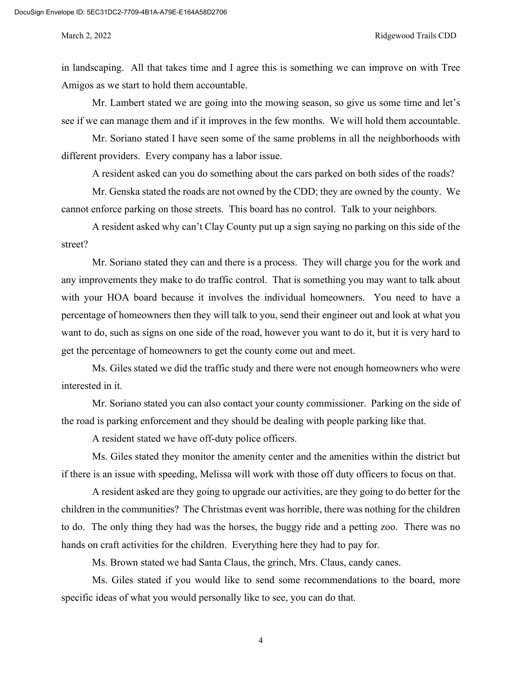in landscaping. All that takes time and I agree this is something we can improve on with Tree Amigos as we start to hold them accountable.

Mr. Lambert stated we are going into the mowing season, so give us some time and let's see if we can manage them and if it improves in the few months. We will hold them accountable.

Mr. Soriano stated I have seen some of the same problems in all the neighborhoods with different providers. Every company has a labor issue.

A resident asked can you do something about the cars parked on both sides of the roads?

Mr. Genska stated the roads are not owned by the CDD; they are owned by the county. We cannot enforce parking on those streets. This board has no control. Talk to your neighbors.

A resident asked why can't Clay County put up a sign saying no parking on this side of the street?

Mr. Soriano stated they can and there is a process. They will charge you for the work and any improvements they make to do traffic control. That is something you may want to talk about with your HOA board because it involves the individual homeowners. You need to have a percentage of homeowners then they will talk to you, send their engineer out and look at what you want to do, such as signs on one side of the road, however you want to do it, but it is very hard to get the percentage of homeowners to get the county come out and meet.

Ms. Giles stated we did the traffic study and there were not enough homeowners who were interested in it.

Mr. Soriano stated you can also contact your county commissioner. Parking on the side of the road is parking enforcement and they should be dealing with people parking like that.

A resident stated we have off-duty police officers.

Ms. Giles stated they monitor the amenity center and the amenities within the district but if there is an issue with speeding, Melissa will work with those off duty officers to focus on that.

A resident asked are they going to upgrade our activities, are they going to do better for the children in the communities? The Christmas event was horrible, there was nothing for the children to do. The only thing they had was the horses, the buggy ride and a petting zoo. There was no hands on craft activities for the children. Everything here they had to pay for.

Ms. Brown stated we had Santa Claus, the grinch, Mrs. Claus, candy canes.

Ms. Giles stated if you would like to send some recommendations to the board, more specific ideas of what you would personally like to see, you can do that.

4